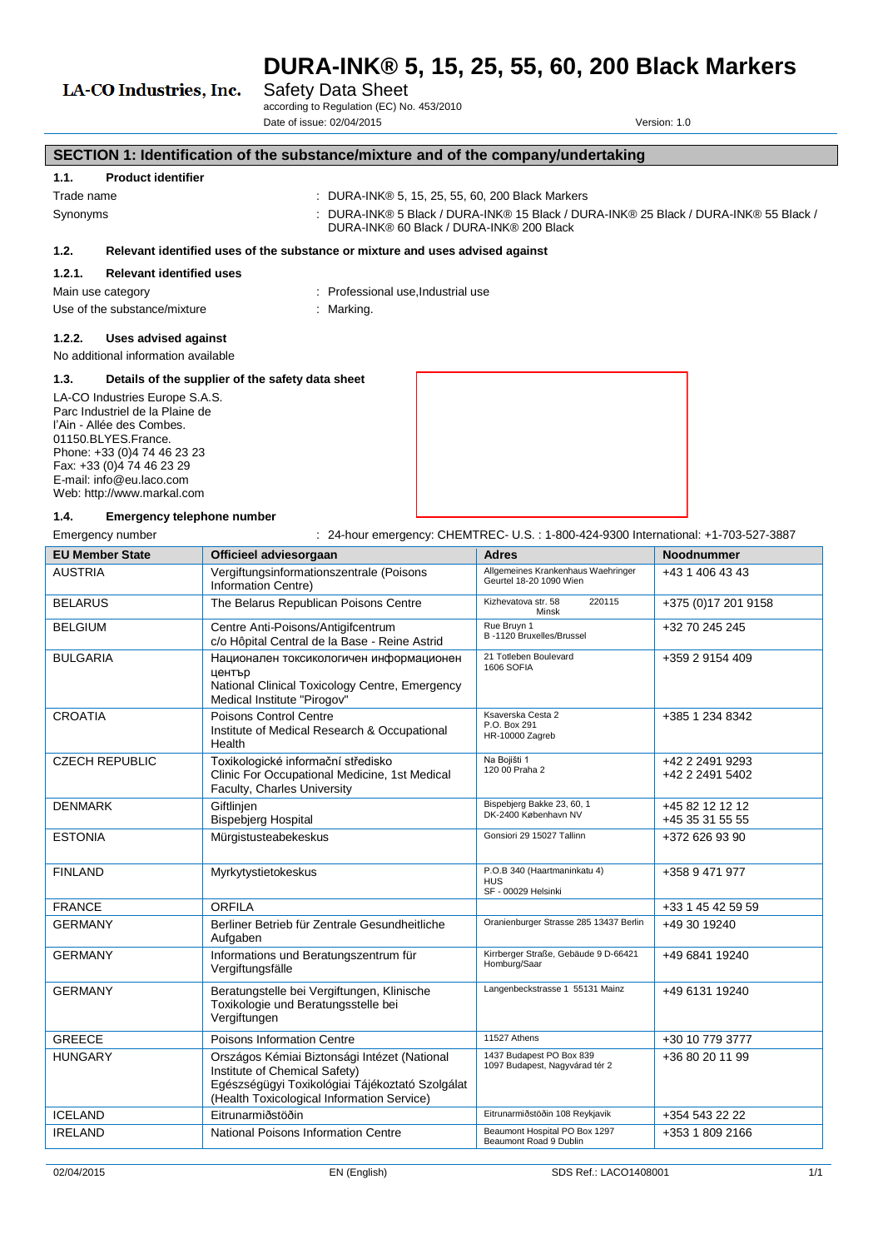# LA-CO Industries, Inc.

# Safety Data Sheet

according to Regulation (EC) No. 453/2010 Date of issue: 02/04/2015 Version: 1.0

# **SECTION 1: Identification of the substance/mixture and of the company/undertaking**

### **1.1. Product identifier**

#### Trade name : DURA-INK® 5, 15, 25, 55, 60, 200 Black Markers

- 
- 
- Synonyms : DURA-INK® 5 Black / DURA-INK® 15 Black / DURA-INK® 25 Black / DURA-INK® 55 Black / DURA-INK® 60 Black / DURA-INK® 200 Black

#### **1.2. Relevant identified uses of the substance or mixture and uses advised against**

#### **1.2.1. Relevant identified uses**

- Main use category **interest and the COV** Main use category in Professional use, Industrial use
- Use of the substance/mixture : Marking.
- 

### **1.2.2. Uses advised against**

No additional information available

#### **1.3. Details of the supplier of the safety data sheet**

LA-CO Industries Europe S.A.S. Parc Industriel de la Plaine de l'Ain - Allée des Combes. 01150.BLYES.France. Phone: +33 (0)4 74 46 23 23 Fax: +33 (0)4 74 46 23 29 E-mail: info@eu.laco.com Web: http://www.markal.com



# **1.4. Emergency telephone number**

Emergency number : 24-hour emergency: CHEMTREC- U.S.: 1-800-424-9300 International: +1-703-527-3887

| <b>EU Member State</b>                                                                                              | Officieel adviesorgaan                                                                                                                                                         | <b>Adres</b>                                                      | <b>Noodnummer</b>                  |
|---------------------------------------------------------------------------------------------------------------------|--------------------------------------------------------------------------------------------------------------------------------------------------------------------------------|-------------------------------------------------------------------|------------------------------------|
| <b>AUSTRIA</b>                                                                                                      | Vergiftungsinformationszentrale (Poisons<br>Information Centre)                                                                                                                | Allgemeines Krankenhaus Waehringer<br>Geurtel 18-20 1090 Wien     | +43 1 406 43 43                    |
| <b>BELARUS</b>                                                                                                      | The Belarus Republican Poisons Centre                                                                                                                                          | Kizhevatova str. 58<br>220115<br>Minsk                            | +375 (0)17 201 9158                |
| <b>BELGIUM</b>                                                                                                      | Centre Anti-Poisons/Antigifcentrum<br>c/o Hôpital Central de la Base - Reine Astrid                                                                                            | Rue Bruvn 1<br>B-1120 Bruxelles/Brussel                           | +32 70 245 245                     |
| <b>BULGARIA</b>                                                                                                     | Национален токсикологичен информационен<br>център<br>National Clinical Toxicology Centre, Emergency<br>Medical Institute "Pirogov"                                             | 21 Totleben Boulevard<br><b>1606 SOFIA</b>                        | +359 2 9154 409                    |
| <b>CROATIA</b>                                                                                                      | Poisons Control Centre<br>Institute of Medical Research & Occupational<br>Health                                                                                               | Ksaverska Cesta 2<br>P.O. Box 291<br>HR-10000 Zagreb              | +385 1 234 8342                    |
| <b>CZECH REPUBLIC</b>                                                                                               | Toxikologické informační středisko<br>Clinic For Occupational Medicine, 1st Medical<br>Faculty, Charles University                                                             | Na Bojišti 1<br>120 00 Praha 2                                    | +42 2 2491 9293<br>+42 2 2491 5402 |
| <b>DENMARK</b>                                                                                                      | Giftlinien<br><b>Bispebjerg Hospital</b>                                                                                                                                       | Bispebjerg Bakke 23, 60, 1<br>DK-2400 København NV                | +45 82 12 12 12<br>+45 35 31 55 55 |
| <b>ESTONIA</b>                                                                                                      | Mürgistusteabekeskus                                                                                                                                                           | Gonsiori 29 15027 Tallinn                                         | +372 626 93 90                     |
| <b>FINLAND</b>                                                                                                      | Myrkytystietokeskus                                                                                                                                                            | P.O.B 340 (Haartmaninkatu 4)<br><b>HUS</b><br>SF - 00029 Helsinki | +358 9 471 977                     |
| <b>FRANCE</b>                                                                                                       | ORFILA                                                                                                                                                                         |                                                                   | +33 1 45 42 59 59                  |
| <b>GERMANY</b>                                                                                                      | Berliner Betrieb für Zentrale Gesundheitliche<br>Aufgaben                                                                                                                      | Oranienburger Strasse 285 13437 Berlin                            | +49 30 19240                       |
| <b>GERMANY</b>                                                                                                      | Informations und Beratungszentrum für<br>Vergiftungsfälle                                                                                                                      | Kirrberger Straße, Gebäude 9 D-66421<br>Homburg/Saar              | +49 6841 19240                     |
| Beratungstelle bei Vergiftungen, Klinische<br><b>GERMANY</b><br>Toxikologie und Beratungsstelle bei<br>Vergiftungen |                                                                                                                                                                                | Langenbeckstrasse 1 55131 Mainz                                   | +49 6131 19240                     |
| <b>GREECE</b>                                                                                                       | Poisons Information Centre                                                                                                                                                     | 11527 Athens                                                      | +30 10 779 3777                    |
| <b>HUNGARY</b>                                                                                                      | Országos Kémiai Biztonsági Intézet (National<br>Institute of Chemical Safety)<br>Egészségügyi Toxikológiai Tájékoztató Szolgálat<br>(Health Toxicological Information Service) | 1437 Budapest PO Box 839<br>1097 Budapest, Nagyvárad tér 2        | +36 80 20 11 99                    |
| <b>ICELAND</b>                                                                                                      | Eitrunarmiðstöðin                                                                                                                                                              | Eitrunarmiðstöðin 108 Reykjavik                                   | +354 543 22 22                     |
| <b>IRELAND</b>                                                                                                      | National Poisons Information Centre                                                                                                                                            | Beaumont Hospital PO Box 1297<br>Beaumont Road 9 Dublin           | +353 1 809 2166                    |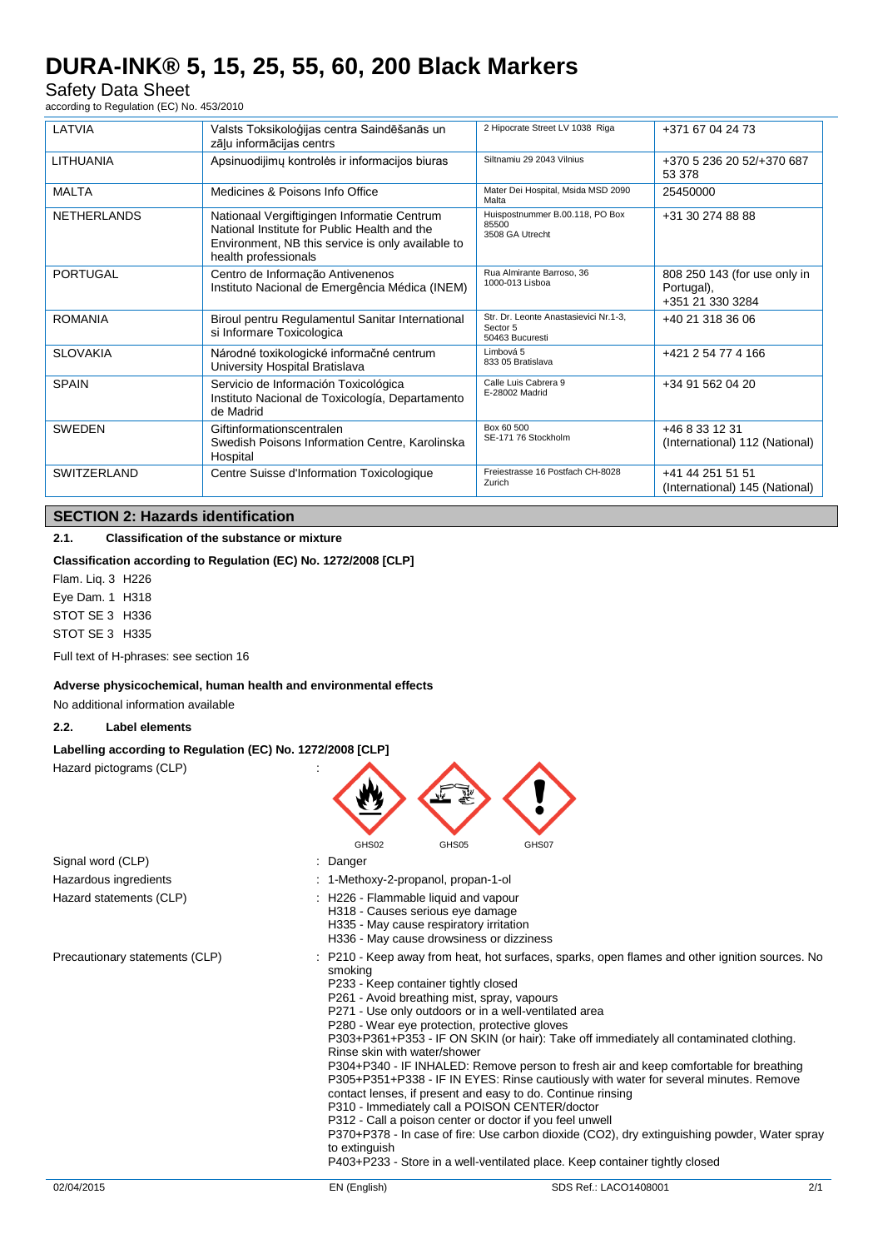Safety Data Sheet according to Regulation (EC) No. 453/2010

LATVIA Valsts Toksikoloģijas centra Saindēšanās un zāļu informācijas centrs 2 Hipocrate Street LV 1038 Riga +371 67 04 24 73 LITHUANIA Apsinuodijimų kontrolės ir informacijos biuras Siltnamiu 29 2043 Vilnius +370 5 236 20 52/+370 687 53 378 MALTA Medicines & Poisons Info Office Mater Dei Hospital, Msida MSD 2090 Malta 25450000 NETHERLANDS Nationaal Vergiftigingen Informatie Centrum National Institute for Public Health and the Environment, NB this service is only available to health professionals Huispostnummer B.00.118, PO Box 85500 3508 GA Utrecht +31 30 274 88 88 PORTUGAL Centro de Informação Antivenenos Instituto Nacional de Emergência Médica (INEM) Rua Almirante Barroso, 36 1000-013 Lisboa 808 250 143 (for use only in Portugal), +351 21 330 3284 ROMANIA Biroul pentru Regulamentul Sanitar International si Informare Toxicologica Str. Dr. Leonte Anastasievici Nr.1-3, Sector 5 50463 Bucuresti +40 21 318 36 06 SLOVAKIA Národné toxikologické informačné centrum University Hospital Bratislava Limbová 5 833 05 Bratislava +421 2 54 77 4 166 SPAIN Servicio de Información Toxicológica Instituto Nacional de Toxicología, Departamento de Madrid Calle Luis Cabrera 9 E-28002 Madrid +34 91 562 04 20 SWEDEN Giftinformationscentralen Swedish Poisons Information Centre, Karolinska **Hospital** Box 60 500 SE-171 76 Stockholm +46 8 33 12 31 (International) 112 (National) SWITZERLAND Centre Suisse d'Information Toxicologique Freiestrasse 16 Postfach CH-8028 Zurich +41 44 251 51 51 (International) 145 (National)

# **SECTION 2: Hazards identification**

### **2.1. Classification of the substance or mixture**

#### **Classification according to Regulation (EC) No. 1272/2008 [CLP]**

Flam. Liq. 3 H226 Eye Dam. 1 H318 STOT SE 3 H336 STOT SE 3 H335

Full text of H-phrases: see section 16

#### **Adverse physicochemical, human health and environmental effects**

No additional information available

#### **2.2. Label elements**

#### **Labelling according to Regulation (EC) No. 1272/2008 [CLP]**

Hazard pictograms (CLP)



| Signal word (CLP)              | : Danger                                                                                                                                                                                         |                                                                                                                                                                                                                                                                                                                                                                                                                                                                                                                                                                                                                                                                                                                                                                                                |     |
|--------------------------------|--------------------------------------------------------------------------------------------------------------------------------------------------------------------------------------------------|------------------------------------------------------------------------------------------------------------------------------------------------------------------------------------------------------------------------------------------------------------------------------------------------------------------------------------------------------------------------------------------------------------------------------------------------------------------------------------------------------------------------------------------------------------------------------------------------------------------------------------------------------------------------------------------------------------------------------------------------------------------------------------------------|-----|
| Hazardous ingredients          | : 1-Methoxy-2-propanol, propan-1-ol                                                                                                                                                              |                                                                                                                                                                                                                                                                                                                                                                                                                                                                                                                                                                                                                                                                                                                                                                                                |     |
| Hazard statements (CLP)        | : H226 - Flammable liquid and vapour<br>H318 - Causes serious eye damage<br>H335 - May cause respiratory irritation<br>H336 - May cause drowsiness or dizziness                                  |                                                                                                                                                                                                                                                                                                                                                                                                                                                                                                                                                                                                                                                                                                                                                                                                |     |
| Precautionary statements (CLP) | smoking<br>P233 - Keep container tightly closed<br>P261 - Avoid breathing mist, spray, vapours<br>P280 - Wear eye protection, protective gloves<br>Rinse skin with water/shower<br>to extinguish | : P210 - Keep away from heat, hot surfaces, sparks, open flames and other ignition sources. No<br>P271 - Use only outdoors or in a well-ventilated area<br>P303+P361+P353 - IF ON SKIN (or hair): Take off immediately all contaminated clothing.<br>P304+P340 - IF INHALED: Remove person to fresh air and keep comfortable for breathing<br>P305+P351+P338 - IF IN EYES: Rinse cautiously with water for several minutes. Remove<br>contact lenses, if present and easy to do. Continue rinsing<br>P310 - Immediately call a POISON CENTER/doctor<br>P312 - Call a poison center or doctor if you feel unwell<br>P370+P378 - In case of fire: Use carbon dioxide (CO2), dry extinguishing powder, Water spray<br>P403+P233 - Store in a well-ventilated place. Keep container tightly closed |     |
| 02/04/2015                     | EN (English)                                                                                                                                                                                     | SDS Ref.: LACO1408001                                                                                                                                                                                                                                                                                                                                                                                                                                                                                                                                                                                                                                                                                                                                                                          | 2/1 |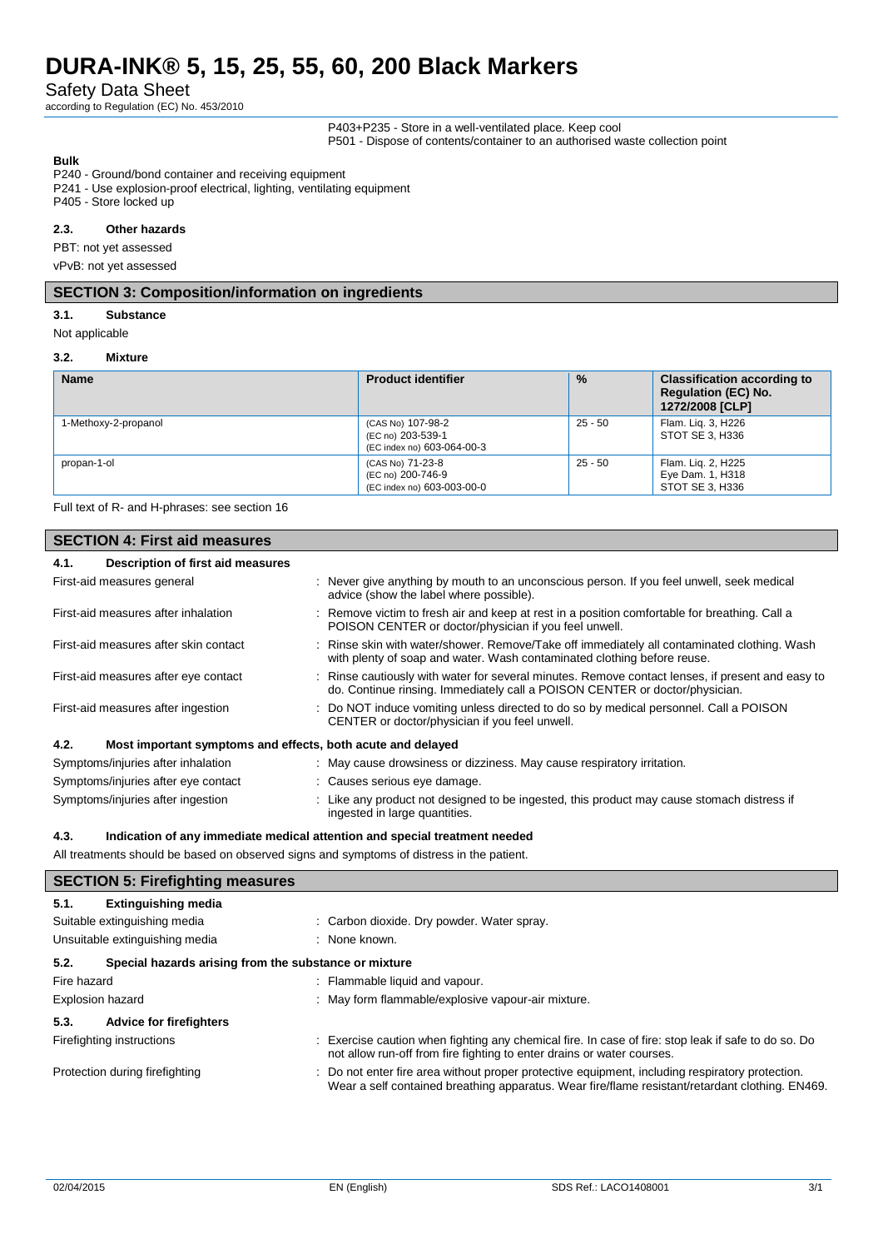Safety Data Sheet

according to Regulation (EC) No. 453/2010

P403+P235 - Store in a well-ventilated place. Keep cool P501 - Dispose of contents/container to an authorised waste collection point

**Bulk**

P240 - Ground/bond container and receiving equipment

P241 - Use explosion-proof electrical, lighting, ventilating equipment

P405 - Store locked up

#### **2.3. Other hazards**

PBT: not yet assessed

vPvB: not yet assessed

#### **SECTION 3: Composition/information on ingredients**

#### **3.1. Substance**

Not applicable

#### **3.2. Mixture**

| <b>Name</b>          | <b>Product identifier</b>                                            | $\frac{9}{6}$ | <b>Classification according to</b><br><b>Regulation (EC) No.</b><br>1272/2008 [CLP] |
|----------------------|----------------------------------------------------------------------|---------------|-------------------------------------------------------------------------------------|
| 1-Methoxy-2-propanol | (CAS No) 107-98-2<br>(EC no) 203-539-1<br>(EC index no) 603-064-00-3 | $25 - 50$     | Flam. Lig. 3, H226<br>STOT SE 3. H336                                               |
| propan-1-ol          | (CAS No) 71-23-8<br>(EC no) 200-746-9<br>(EC index no) 603-003-00-0  | $25 - 50$     | Flam. Lig. 2, H225<br>Eye Dam. 1, H318<br>STOT SE 3. H336                           |

Full text of R- and H-phrases: see section 16

| <b>SECTION 4: First aid measures</b> |                                                             |  |                                                                                                                                                                                 |
|--------------------------------------|-------------------------------------------------------------|--|---------------------------------------------------------------------------------------------------------------------------------------------------------------------------------|
| 4.1.                                 | Description of first aid measures                           |  |                                                                                                                                                                                 |
|                                      | First-aid measures general                                  |  | : Never give anything by mouth to an unconscious person. If you feel unwell, seek medical<br>advice (show the label where possible).                                            |
|                                      | First-aid measures after inhalation                         |  | : Remove victim to fresh air and keep at rest in a position comfortable for breathing. Call a<br>POISON CENTER or doctor/physician if you feel unwell.                          |
|                                      | First-aid measures after skin contact                       |  | : Rinse skin with water/shower. Remove/Take off immediately all contaminated clothing. Wash<br>with plenty of soap and water. Wash contaminated clothing before reuse.          |
|                                      | First-aid measures after eye contact                        |  | : Rinse cautiously with water for several minutes. Remove contact lenses, if present and easy to<br>do. Continue rinsing. Immediately call a POISON CENTER or doctor/physician. |
|                                      | First-aid measures after ingestion                          |  | : Do NOT induce vomiting unless directed to do so by medical personnel. Call a POISON<br>CENTER or doctor/physician if you feel unwell.                                         |
| 4.2.                                 | Most important symptoms and effects, both acute and delayed |  |                                                                                                                                                                                 |
|                                      | Symptoms/injuries after inhalation                          |  | : May cause drowsiness or dizziness. May cause respiratory irritation.                                                                                                          |
| Symptoms/injuries after eye contact  |                                                             |  | : Causes serious eye damage.                                                                                                                                                    |
| Symptoms/injuries after ingestion    |                                                             |  | : Like any product not designed to be ingested, this product may cause stomach distress if<br>ingested in large quantities.                                                     |

#### **4.3. Indication of any immediate medical attention and special treatment needed**

All treatments should be based on observed signs and symptoms of distress in the patient.

| <b>SECTION 5: Firefighting measures</b>                       |                                                                                                                                                                                                    |  |
|---------------------------------------------------------------|----------------------------------------------------------------------------------------------------------------------------------------------------------------------------------------------------|--|
| 5.1.<br><b>Extinguishing media</b>                            |                                                                                                                                                                                                    |  |
| Suitable extinguishing media                                  | : Carbon dioxide. Dry powder. Water spray.                                                                                                                                                         |  |
| Unsuitable extinguishing media                                | : None known.                                                                                                                                                                                      |  |
| 5.2.<br>Special hazards arising from the substance or mixture |                                                                                                                                                                                                    |  |
| Fire hazard                                                   | : Flammable liquid and vapour.                                                                                                                                                                     |  |
| <b>Explosion hazard</b>                                       | : May form flammable/explosive vapour-air mixture.                                                                                                                                                 |  |
| 5.3.<br><b>Advice for firefighters</b>                        |                                                                                                                                                                                                    |  |
| Firefighting instructions                                     | : Exercise caution when fighting any chemical fire. In case of fire: stop leak if safe to do so. Do<br>not allow run-off from fire fighting to enter drains or water courses.                      |  |
| Protection during firefighting                                | : Do not enter fire area without proper protective equipment, including respiratory protection.<br>Wear a self contained breathing apparatus. Wear fire/flame resistant/retardant clothing. EN469. |  |
|                                                               |                                                                                                                                                                                                    |  |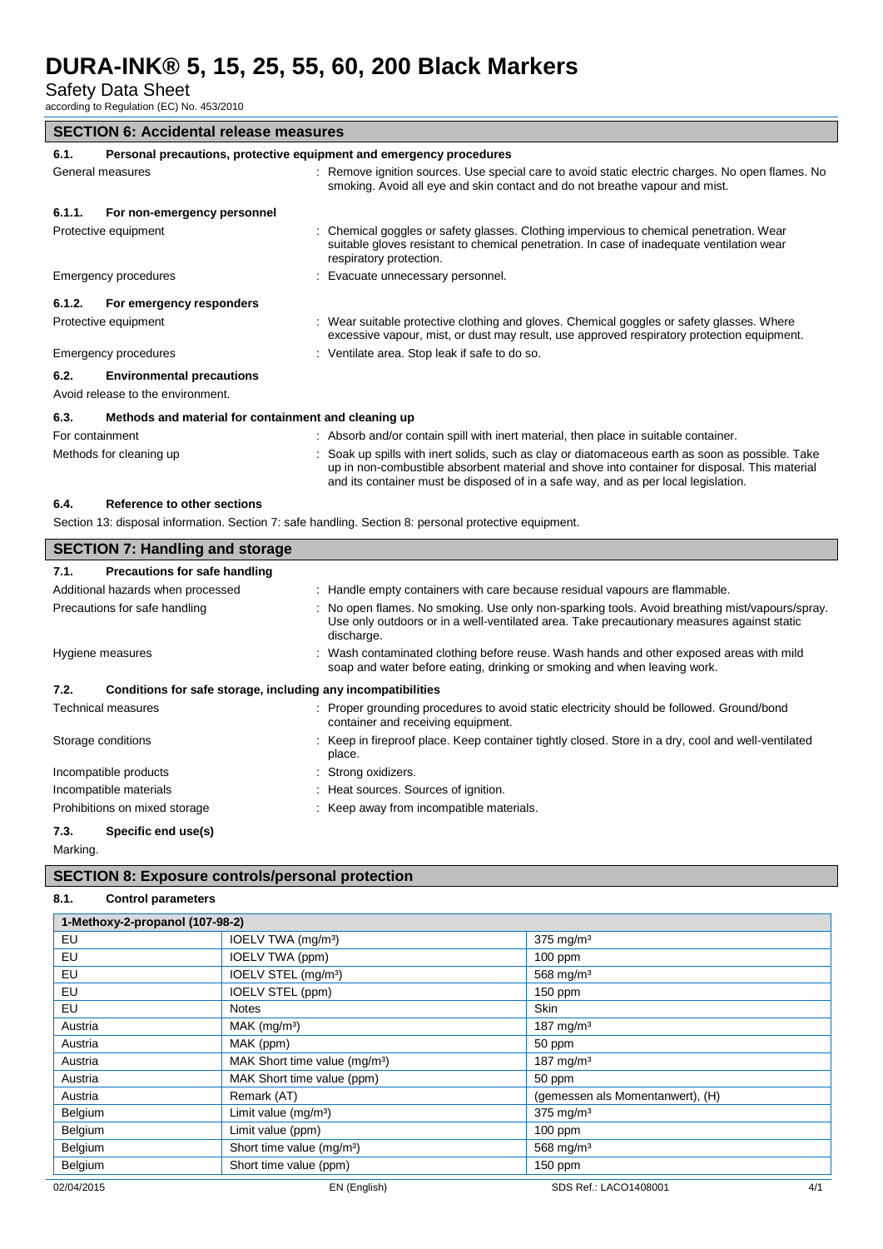Safety Data Sheet

according to Regulation (EC) No. 453/2010

| <b>SECTION 6: Accidental release measures</b>                                                                                                                                                       |                                                                                                                                                                                                                                                                                         |  |  |
|-----------------------------------------------------------------------------------------------------------------------------------------------------------------------------------------------------|-----------------------------------------------------------------------------------------------------------------------------------------------------------------------------------------------------------------------------------------------------------------------------------------|--|--|
| 6.1.                                                                                                                                                                                                | Personal precautions, protective equipment and emergency procedures                                                                                                                                                                                                                     |  |  |
| General measures<br>: Remove ignition sources. Use special care to avoid static electric charges. No open flames. No<br>smoking. Avoid all eye and skin contact and do not breathe vapour and mist. |                                                                                                                                                                                                                                                                                         |  |  |
| For non-emergency personnel<br>6.1.1.                                                                                                                                                               |                                                                                                                                                                                                                                                                                         |  |  |
| Protective equipment                                                                                                                                                                                | : Chemical goggles or safety glasses. Clothing impervious to chemical penetration. Wear<br>suitable gloves resistant to chemical penetration. In case of inadequate ventilation wear<br>respiratory protection.                                                                         |  |  |
| Emergency procedures                                                                                                                                                                                | : Evacuate unnecessary personnel.                                                                                                                                                                                                                                                       |  |  |
| 6.1.2.<br>For emergency responders                                                                                                                                                                  |                                                                                                                                                                                                                                                                                         |  |  |
| Protective equipment                                                                                                                                                                                | : Wear suitable protective clothing and gloves. Chemical goggles or safety glasses. Where<br>excessive vapour, mist, or dust may result, use approved respiratory protection equipment.                                                                                                 |  |  |
| Emergency procedures                                                                                                                                                                                | : Ventilate area. Stop leak if safe to do so.                                                                                                                                                                                                                                           |  |  |
| <b>Environmental precautions</b><br>6.2.<br>Avoid release to the environment.                                                                                                                       |                                                                                                                                                                                                                                                                                         |  |  |
| Methods and material for containment and cleaning up<br>6.3.                                                                                                                                        |                                                                                                                                                                                                                                                                                         |  |  |
| For containment                                                                                                                                                                                     | : Absorb and/or contain spill with inert material, then place in suitable container.                                                                                                                                                                                                    |  |  |
| Methods for cleaning up                                                                                                                                                                             | : Soak up spills with inert solids, such as clay or diatomaceous earth as soon as possible. Take<br>up in non-combustible absorbent material and shove into container for disposal. This material<br>and its container must be disposed of in a safe way, and as per local legislation. |  |  |
| Reference to other sections<br>6.4.                                                                                                                                                                 |                                                                                                                                                                                                                                                                                         |  |  |
|                                                                                                                                                                                                     | Section 13: disposal information. Section 7: safe handling. Section 8: personal protective equipment.                                                                                                                                                                                   |  |  |
|                                                                                                                                                                                                     |                                                                                                                                                                                                                                                                                         |  |  |

| <b>SECTION 7: Handling and storage</b>                               |                                                                                                                                                                                                          |
|----------------------------------------------------------------------|----------------------------------------------------------------------------------------------------------------------------------------------------------------------------------------------------------|
| 7.1.<br>Precautions for safe handling                                |                                                                                                                                                                                                          |
| Additional hazards when processed                                    | : Handle empty containers with care because residual vapours are flammable.                                                                                                                              |
| Precautions for safe handling                                        | No open flames. No smoking. Use only non-sparking tools. Avoid breathing mist/vapours/spray.<br>Use only outdoors or in a well-ventilated area. Take precautionary measures against static<br>discharge. |
| Hygiene measures                                                     | Wash contaminated clothing before reuse. Wash hands and other exposed areas with mild<br>soap and water before eating, drinking or smoking and when leaving work.                                        |
| 7.2.<br>Conditions for safe storage, including any incompatibilities |                                                                                                                                                                                                          |
| <b>Technical measures</b>                                            | : Proper grounding procedures to avoid static electricity should be followed. Ground/bond<br>container and receiving equipment.                                                                          |
| Storage conditions                                                   | : Keep in fireproof place. Keep container tightly closed. Store in a dry, cool and well-ventilated<br>place.                                                                                             |
| Incompatible products                                                | : Strong oxidizers.                                                                                                                                                                                      |
| Incompatible materials                                               | : Heat sources. Sources of ignition.                                                                                                                                                                     |
| Prohibitions on mixed storage                                        | : Keep away from incompatible materials.                                                                                                                                                                 |
| 7.3.<br>Specific end use(s)                                          |                                                                                                                                                                                                          |

Marking.

L

### **SECTION 8: Exposure controls/personal protection**

# **8.1. Control parameters**

| 1-Methoxy-2-propanol (107-98-2) |                                           |                                  |  |
|---------------------------------|-------------------------------------------|----------------------------------|--|
| EU                              | IOELV TWA (mg/m <sup>3</sup> )            | $375$ mg/m <sup>3</sup>          |  |
| EU                              | IOELV TWA (ppm)                           | 100 ppm                          |  |
| EU                              | IOELV STEL (mg/m <sup>3</sup> )           | $568$ mg/m <sup>3</sup>          |  |
| EU                              | IOELV STEL (ppm)                          | 150 ppm                          |  |
| EU                              | <b>Notes</b>                              | <b>Skin</b>                      |  |
| Austria                         | $MAK$ (mg/m <sup>3</sup> )                | 187 mg/m $3$                     |  |
| Austria                         | MAK (ppm)                                 | 50 ppm                           |  |
| Austria                         | MAK Short time value (mg/m <sup>3</sup> ) | 187 mg/m $3$                     |  |
| Austria                         | MAK Short time value (ppm)                | 50 ppm                           |  |
| Austria                         | Remark (AT)                               | (gemessen als Momentanwert), (H) |  |
| Belgium                         | Limit value (mg/m <sup>3</sup> )          | $375$ mg/m <sup>3</sup>          |  |
| Belgium                         | Limit value (ppm)                         | $100$ ppm                        |  |
| Belgium                         | Short time value (mg/m <sup>3</sup> )     | 568 mg/m <sup>3</sup>            |  |
| Belgium                         | Short time value (ppm)                    | $150$ ppm                        |  |
| 02/04/2015                      | EN (English)                              | 4/1<br>SDS Ref.: LACO1408001     |  |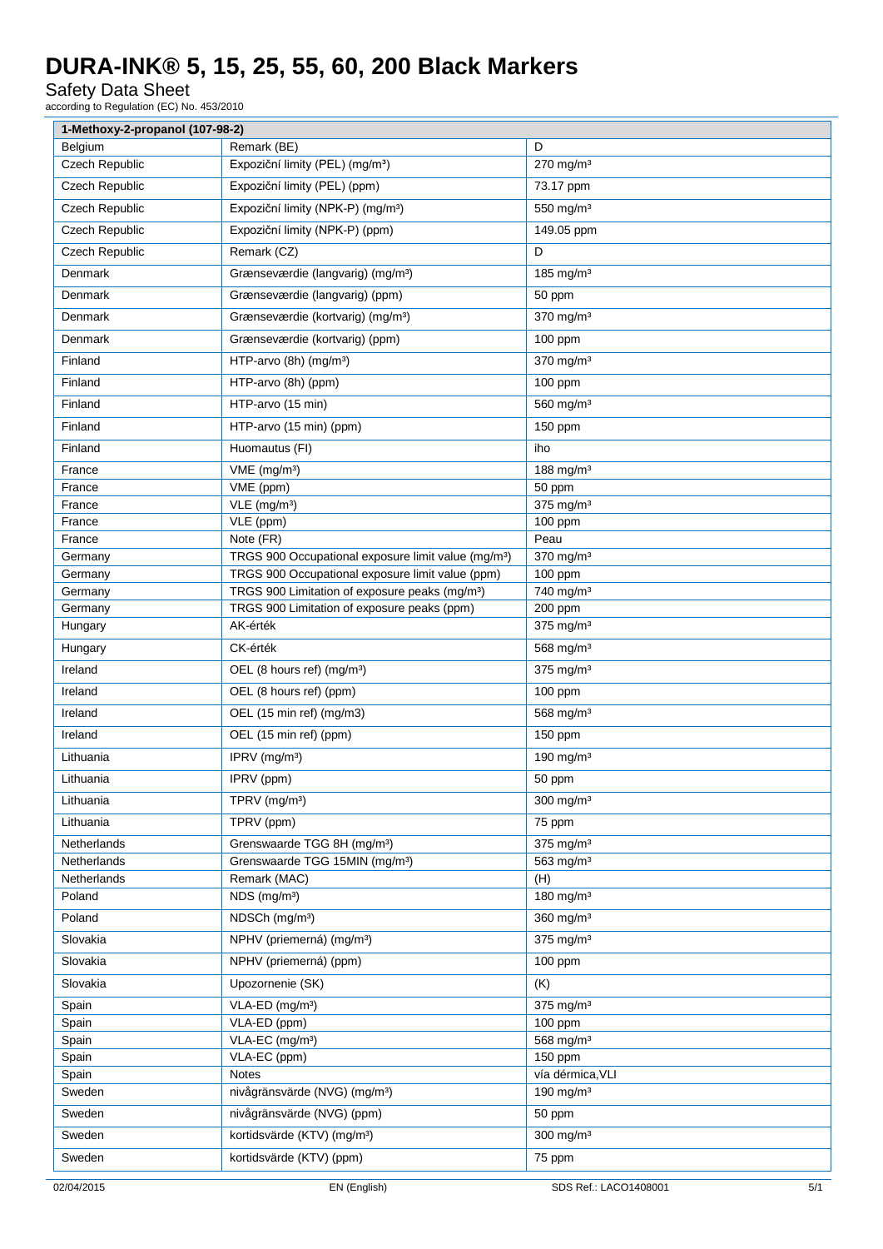Safety Data Sheet

according to Regulation (EC) No. 453/2010

| 1-Methoxy-2-propanol (107-98-2) |                                                                 |                              |     |
|---------------------------------|-----------------------------------------------------------------|------------------------------|-----|
| Belgium                         | Remark (BE)                                                     | D                            |     |
| <b>Czech Republic</b>           | Expoziční limity (PEL) (mg/m <sup>3</sup> )                     | $270$ mg/m <sup>3</sup>      |     |
| Czech Republic                  | Expoziční limity (PEL) (ppm)                                    | 73.17 ppm                    |     |
| <b>Czech Republic</b>           | Expoziční limity (NPK-P) (mg/m <sup>3</sup> )                   | 550 mg/m <sup>3</sup>        |     |
| <b>Czech Republic</b>           | Expoziční limity (NPK-P) (ppm)                                  | 149.05 ppm                   |     |
| <b>Czech Republic</b>           | Remark (CZ)                                                     | D                            |     |
| Denmark                         | Grænseværdie (langvarig) (mg/m <sup>3</sup> )                   | 185 mg/m $3$                 |     |
| Denmark                         | Grænseværdie (langvarig) (ppm)                                  | 50 ppm                       |     |
| Denmark                         | Grænseværdie (kortvarig) (mg/m <sup>3</sup> )                   | $370$ mg/m <sup>3</sup>      |     |
|                                 |                                                                 |                              |     |
| Denmark                         | Grænseværdie (kortvarig) (ppm)                                  | 100 ppm                      |     |
| Finland                         | HTP-arvo (8h) (mg/m <sup>3</sup> )                              | $370$ mg/m <sup>3</sup>      |     |
| Finland                         | HTP-arvo (8h) (ppm)                                             | 100 ppm                      |     |
| Finland                         | HTP-arvo (15 min)                                               | 560 mg/m <sup>3</sup>        |     |
| Finland                         | HTP-arvo (15 min) (ppm)                                         | 150 ppm                      |     |
| Finland                         | Huomautus (FI)                                                  | iho                          |     |
| France                          | VME (mg/m <sup>3</sup> )                                        | 188 mg/m <sup>3</sup>        |     |
| France                          | $VME$ (ppm)                                                     | 50 ppm                       |     |
| France                          | $VLE$ (mg/m <sup>3</sup> )                                      | $375$ mg/m <sup>3</sup>      |     |
| France                          | VLE (ppm)                                                       | 100 ppm                      |     |
| France                          | Note (FR)                                                       | Peau                         |     |
| Germany                         | TRGS 900 Occupational exposure limit value (mg/m <sup>3</sup> ) | $370$ mg/m <sup>3</sup>      |     |
| Germany                         | TRGS 900 Occupational exposure limit value (ppm)                | 100 ppm                      |     |
| Germany                         | TRGS 900 Limitation of exposure peaks (mg/m <sup>3</sup> )      | 740 mg/m <sup>3</sup>        |     |
| Germany                         | TRGS 900 Limitation of exposure peaks (ppm)                     | 200 ppm                      |     |
| Hungary                         | AK-érték                                                        | 375 mg/m <sup>3</sup>        |     |
| Hungary                         | CK-érték                                                        | 568 mg/m <sup>3</sup>        |     |
| Ireland                         | OEL (8 hours ref) (mg/m <sup>3</sup> )                          | $375$ mg/m <sup>3</sup>      |     |
| Ireland                         | OEL (8 hours ref) (ppm)                                         | 100 ppm                      |     |
| Ireland                         | OEL (15 min ref) (mg/m3)                                        | 568 mg/m <sup>3</sup>        |     |
| Ireland                         | OEL (15 min ref) (ppm)                                          | 150 ppm                      |     |
| Lithuania                       | IPRV $(mg/m3)$                                                  | 190 mg/m $3$                 |     |
| Lithuania                       | IPRV (ppm)                                                      | 50 ppm                       |     |
| Lithuania                       | TPRV (mg/m <sup>3</sup> )                                       | 300 mg/m <sup>3</sup>        |     |
| Lithuania                       | TPRV (ppm)                                                      |                              |     |
|                                 |                                                                 | 75 ppm                       |     |
| Netherlands                     | Grenswaarde TGG 8H (mg/m <sup>3</sup> )                         | 375 mg/m <sup>3</sup>        |     |
| Netherlands                     | Grenswaarde TGG 15MIN (mg/m <sup>3</sup> )                      | 563 mg/m <sup>3</sup>        |     |
| Netherlands<br>Poland           | Remark (MAC)<br>NDS (mg/m <sup>3</sup> )                        | (H)<br>180 mg/m <sup>3</sup> |     |
| Poland                          |                                                                 |                              |     |
|                                 | NDSCh (mg/m <sup>3</sup> )                                      | $360$ mg/m <sup>3</sup>      |     |
| Slovakia                        | NPHV (priemerná) (mg/m <sup>3</sup> )                           | 375 mg/m <sup>3</sup>        |     |
| Slovakia                        | NPHV (priemerná) (ppm)                                          | 100 ppm                      |     |
| Slovakia                        | Upozornenie (SK)                                                | (K)                          |     |
| Spain                           | VLA-ED (mg/m <sup>3</sup> )                                     | $375$ mg/m <sup>3</sup>      |     |
| Spain                           | VLA-ED (ppm)                                                    | 100 ppm                      |     |
| Spain                           | VLA-EC (mg/m <sup>3</sup> )                                     | 568 mg/m <sup>3</sup>        |     |
| Spain                           | VLA-EC (ppm)                                                    | 150 ppm                      |     |
| Spain                           | <b>Notes</b>                                                    | vía dérmica, VLI             |     |
| Sweden                          | nivågränsvärde (NVG) (mg/m <sup>3</sup> )                       | 190 mg/m <sup>3</sup>        |     |
| Sweden                          | nivågränsvärde (NVG) (ppm)                                      | 50 ppm                       |     |
| Sweden                          | kortidsvärde (KTV) (mg/m <sup>3</sup> )                         | $300 \text{ mg/m}^3$         |     |
| Sweden                          | kortidsvärde (KTV) (ppm)                                        | 75 ppm                       |     |
|                                 |                                                                 |                              |     |
| 02/04/2015                      | EN (English)                                                    | SDS Ref.: LACO1408001        | 5/1 |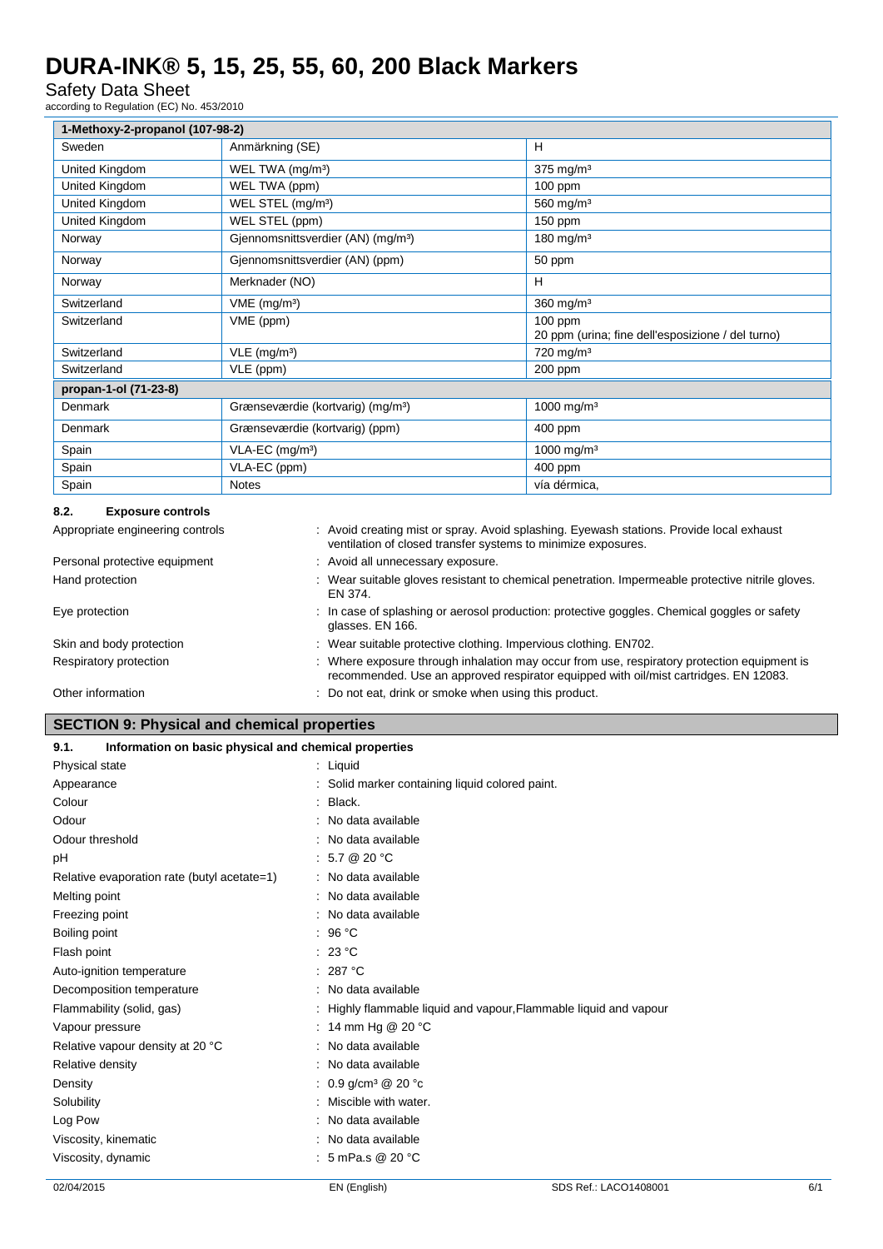# Safety Data Sheet

according to Regulation (EC) No. 453/2010

| 1-Methoxy-2-propanol (107-98-2) |                                                |                                                                |  |
|---------------------------------|------------------------------------------------|----------------------------------------------------------------|--|
| Sweden                          | Anmärkning (SE)                                | H                                                              |  |
| United Kingdom                  | WEL TWA (mg/m <sup>3</sup> )                   | $375$ mg/m <sup>3</sup>                                        |  |
| United Kingdom                  | WEL TWA (ppm)                                  | $100$ ppm                                                      |  |
| United Kingdom                  | WEL STEL (mg/m <sup>3</sup> )                  | 560 mg/m $3$                                                   |  |
| United Kingdom                  | WEL STEL (ppm)                                 | $150$ ppm                                                      |  |
| Norway                          | Gjennomsnittsverdier (AN) (mg/m <sup>3</sup> ) | 180 mg/m $3$                                                   |  |
| Norway                          | Gjennomsnittsverdier (AN) (ppm)                | 50 ppm                                                         |  |
| Norway                          | Merknader (NO)                                 | H                                                              |  |
| Switzerland                     | $VME$ (mg/m <sup>3</sup> )                     | $360$ mg/m <sup>3</sup>                                        |  |
| Switzerland                     | VME (ppm)                                      | $100$ ppm<br>20 ppm (urina; fine dell'esposizione / del turno) |  |
| Switzerland                     | $VLE$ (mg/m <sup>3</sup> )                     | $720$ mg/m <sup>3</sup>                                        |  |
| Switzerland                     | VLE (ppm)                                      | 200 ppm                                                        |  |
| propan-1-ol (71-23-8)           |                                                |                                                                |  |
| Denmark                         | Grænseværdie (kortvarig) (mg/m <sup>3</sup> )  | 1000 mg/m <sup>3</sup>                                         |  |
| Denmark                         | Grænseværdie (kortvarig) (ppm)                 | 400 ppm                                                        |  |
| Spain                           | $VLA-EC$ (mg/m <sup>3</sup> )                  | 1000 mg/m <sup>3</sup>                                         |  |
| Spain                           | VLA-EC (ppm)                                   | 400 ppm                                                        |  |
| Spain                           | <b>Notes</b>                                   | vía dérmica,                                                   |  |

### **8.2. Exposure controls**

| Appropriate engineering controls | : Avoid creating mist or spray. Avoid splashing. Eyewash stations. Provide local exhaust<br>ventilation of closed transfer systems to minimize exposures.                           |
|----------------------------------|-------------------------------------------------------------------------------------------------------------------------------------------------------------------------------------|
| Personal protective equipment    | : Avoid all unnecessary exposure.                                                                                                                                                   |
| Hand protection                  | : Wear suitable gloves resistant to chemical penetration. Impermeable protective nitrile gloves.<br>EN 374.                                                                         |
| Eye protection                   | : In case of splashing or aerosol production: protective goggles. Chemical goggles or safety<br>glasses. EN 166.                                                                    |
| Skin and body protection         | : Wear suitable protective clothing. Impervious clothing. EN702.                                                                                                                    |
| Respiratory protection           | : Where exposure through inhalation may occur from use, respiratory protection equipment is<br>recommended. Use an approved respirator equipped with oil/mist cartridges. EN 12083. |
| Other information                | : Do not eat, drink or smoke when using this product.                                                                                                                               |

# **SECTION 9: Physical and chemical properties**

| Information on basic physical and chemical properties<br>9.1. |                                                                   |
|---------------------------------------------------------------|-------------------------------------------------------------------|
| Physical state                                                | $:$ Liquid                                                        |
| Appearance                                                    | : Solid marker containing liquid colored paint.                   |
| Colour                                                        | : Black.                                                          |
| Odour                                                         | : No data available                                               |
| Odour threshold                                               | : No data available                                               |
| pH                                                            | : 5.7 @ 20 °C                                                     |
| Relative evaporation rate (butyl acetate=1)                   | : No data available                                               |
| Melting point                                                 | : No data available                                               |
| Freezing point                                                | : No data available                                               |
| Boiling point                                                 | : 96 °C                                                           |
| Flash point                                                   | : 23 °C                                                           |
| Auto-ignition temperature                                     | : 287 °C                                                          |
| Decomposition temperature                                     | : No data available                                               |
| Flammability (solid, gas)                                     | : Highly flammable liquid and vapour, Flammable liquid and vapour |
| Vapour pressure                                               | : 14 mm Hg @ 20 $^{\circ}$ C                                      |
| Relative vapour density at 20 °C                              | : No data available                                               |
| Relative density                                              | No data available                                                 |
| Density                                                       | : 0.9 g/cm <sup>3</sup> @ 20 °c                                   |
| Solubility                                                    | Miscible with water.                                              |
| Log Pow                                                       | : No data available                                               |
| Viscosity, kinematic                                          | No data available                                                 |
| Viscosity, dynamic                                            | : 5 mPa.s @ 20 $^{\circ}$ C                                       |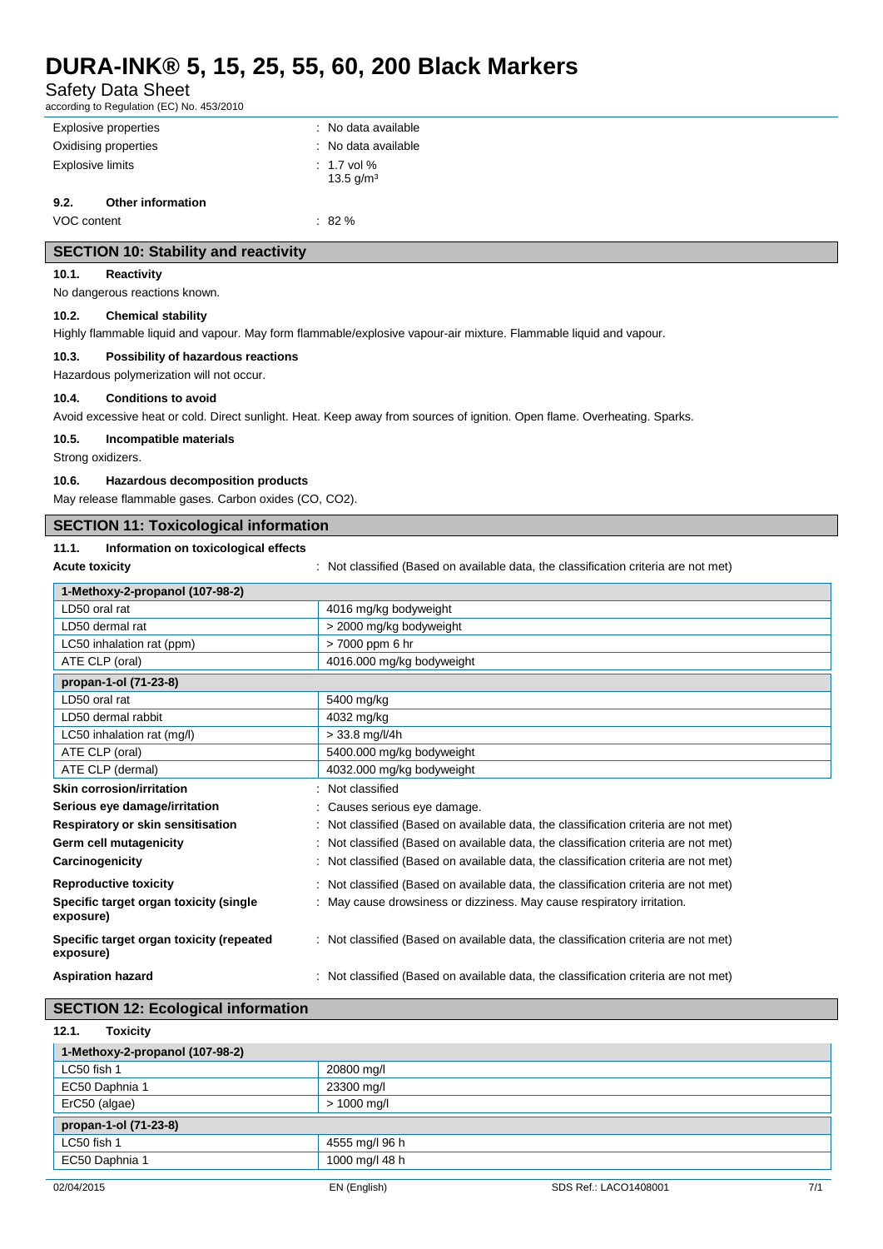| <b>Safety Data Sheet</b><br>according to Regulation (EC) No. 453/2010 |                                                                                                                           |  |
|-----------------------------------------------------------------------|---------------------------------------------------------------------------------------------------------------------------|--|
| <b>Explosive properties</b>                                           | : No data available                                                                                                       |  |
| Oxidising properties<br>No data available                             |                                                                                                                           |  |
| <b>Explosive limits</b>                                               | 1.7 vol %                                                                                                                 |  |
|                                                                       | 13.5 g/m <sup>3</sup>                                                                                                     |  |
| 9.2.<br><b>Other information</b>                                      |                                                                                                                           |  |
| VOC content                                                           | $: 82 \%$                                                                                                                 |  |
| <b>SECTION 10: Stability and reactivity</b>                           |                                                                                                                           |  |
| 10.1.<br>Reactivity                                                   |                                                                                                                           |  |
| No dangerous reactions known.                                         |                                                                                                                           |  |
| 10.2.<br><b>Chemical stability</b>                                    |                                                                                                                           |  |
|                                                                       | Highly flammable liquid and vapour. May form flammable/explosive vapour-air mixture. Flammable liquid and vapour.         |  |
| 10.3.<br>Possibility of hazardous reactions                           |                                                                                                                           |  |
| Hazardous polymerization will not occur.                              |                                                                                                                           |  |
|                                                                       |                                                                                                                           |  |
| 10.4.<br><b>Conditions to avoid</b>                                   |                                                                                                                           |  |
|                                                                       | Avoid excessive heat or cold. Direct sunlight. Heat. Keep away from sources of ignition. Open flame. Overheating. Sparks. |  |
| 10.5.<br>Incompatible materials                                       |                                                                                                                           |  |
| Strong oxidizers.                                                     |                                                                                                                           |  |
| 10.6.<br>Hazardous decomposition products                             |                                                                                                                           |  |
| May release flammable gases. Carbon oxides (CO, CO2).                 |                                                                                                                           |  |
| <b>SECTION 11: Toxicological information</b>                          |                                                                                                                           |  |
|                                                                       |                                                                                                                           |  |
| 11.1.<br>Information on toxicological effects                         |                                                                                                                           |  |
| <b>Acute toxicity</b>                                                 | Not classified (Based on available data, the classification criteria are not met)                                         |  |
| 1-Methoxy-2-propanol (107-98-2)                                       |                                                                                                                           |  |
| LD50 oral rat                                                         | 4016 mg/kg bodyweight                                                                                                     |  |
| LD50 dermal rat                                                       | > 2000 mg/kg bodyweight                                                                                                   |  |
| LC50 inhalation rat (ppm)                                             | > 7000 ppm 6 hr                                                                                                           |  |
| ATE CLP (oral)                                                        | 4016.000 mg/kg bodyweight                                                                                                 |  |
| propan-1-ol (71-23-8)                                                 |                                                                                                                           |  |
| LD50 oral rat                                                         | 5400 mg/kg                                                                                                                |  |
| LD50 dermal rabbit                                                    | 4032 mg/kg                                                                                                                |  |
| LC50 inhalation rat (mg/l)                                            | $> 33.8$ mg/l/4h                                                                                                          |  |
| ATE CLP (oral)                                                        | 5400.000 mg/kg bodyweight                                                                                                 |  |
| ATE CLP (dermal)                                                      | 4032.000 mg/kg bodyweight                                                                                                 |  |
| <b>Skin corrosion/irritation</b>                                      | Not classified                                                                                                            |  |
| Serious eye damage/irritation                                         | Causes serious eye damage.                                                                                                |  |
| Respiratory or skin sensitisation                                     | Not classified (Based on available data, the classification criteria are not met)                                         |  |
| Germ cell mutagenicity                                                | : Not classified (Based on available data, the classification criteria are not met)                                       |  |
| Carcinogenicity                                                       | : Not classified (Based on available data, the classification criteria are not met)                                       |  |
| <b>Reproductive toxicity</b>                                          | : Not classified (Based on available data, the classification criteria are not met)                                       |  |
| Specific target organ toxicity (single<br>exposure)                   | : May cause drowsiness or dizziness. May cause respiratory irritation.                                                    |  |
| Specific target organ toxicity (repeated<br>exposure)                 | : Not classified (Based on available data, the classification criteria are not met)                                       |  |

# **SECTION 12: Ecological information**

| 12.1.<br><b>Toxicity</b>        |                |  |
|---------------------------------|----------------|--|
| 1-Methoxy-2-propanol (107-98-2) |                |  |
| LC50 fish 1                     | 20800 mg/l     |  |
| EC50 Daphnia 1                  | 23300 mg/l     |  |
| ErC50 (algae)                   | $> 1000$ mg/l  |  |
| propan-1-ol (71-23-8)           |                |  |
| LC50 fish 1                     | 4555 mg/l 96 h |  |
| EC50 Daphnia 1                  | 1000 mg/l 48 h |  |
|                                 |                |  |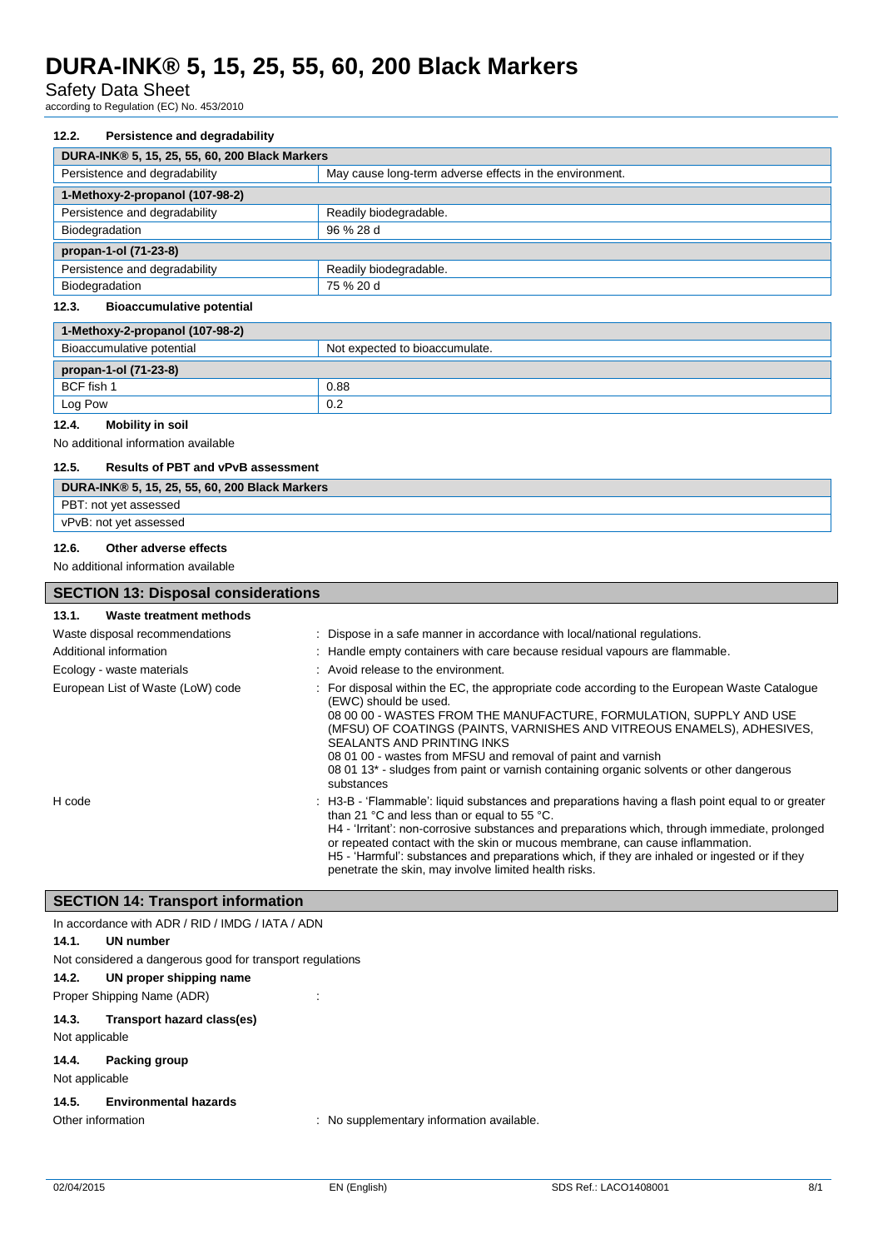Safety Data Sheet

according to Regulation (EC) No. 453/2010

#### **12.2. Persistence and degradability**

| DURA-INK® 5, 15, 25, 55, 60, 200 Black Markers |                                                         |  |
|------------------------------------------------|---------------------------------------------------------|--|
| Persistence and degradability                  | May cause long-term adverse effects in the environment. |  |
| 1-Methoxy-2-propanol (107-98-2)                |                                                         |  |
| Persistence and degradability                  | Readily biodegradable.                                  |  |
| Biodegradation                                 | 96 % 28 d                                               |  |
| propan-1-ol (71-23-8)                          |                                                         |  |
| Persistence and degradability                  | Readily biodegradable.                                  |  |
| Biodegradation                                 | 75 % 20 d                                               |  |

#### **12.3. Bioaccumulative potential**

| 1-Methoxy-2-propanol (107-98-2) |                                |  |
|---------------------------------|--------------------------------|--|
| Bioaccumulative potential       | Not expected to bioaccumulate. |  |
| propan-1-ol (71-23-8)           |                                |  |
| BCF fish 1                      | 0.88                           |  |
| Log Pow                         | 0.2                            |  |
|                                 |                                |  |

# **12.4. Mobility in soil**

No additional information available

# **12.5. Results of PBT and vPvB assessment**

| DURA-INK® 5, 15, 25, 55, 60, 200 Black Markers |
|------------------------------------------------|
| PBT: not yet assessed                          |
| vPvB: not yet assessed                         |
|                                                |

#### **12.6. Other adverse effects**

#### No additional information available

| <b>SECTION 13: Disposal considerations</b> |                                                                                                                                                                                                                                                                                                                                                                                                                                                                                                                   |  |
|--------------------------------------------|-------------------------------------------------------------------------------------------------------------------------------------------------------------------------------------------------------------------------------------------------------------------------------------------------------------------------------------------------------------------------------------------------------------------------------------------------------------------------------------------------------------------|--|
| Waste treatment methods<br>13.1.           |                                                                                                                                                                                                                                                                                                                                                                                                                                                                                                                   |  |
| Waste disposal recommendations             | : Dispose in a safe manner in accordance with local/national regulations.                                                                                                                                                                                                                                                                                                                                                                                                                                         |  |
| Additional information                     | : Handle empty containers with care because residual vapours are flammable.                                                                                                                                                                                                                                                                                                                                                                                                                                       |  |
| Ecology - waste materials                  | $:$ Avoid release to the environment.                                                                                                                                                                                                                                                                                                                                                                                                                                                                             |  |
| European List of Waste (LoW) code          | For disposal within the EC, the appropriate code according to the European Waste Catalogue<br>(EWC) should be used.<br>08 00 00 - WASTES FROM THE MANUFACTURE, FORMULATION, SUPPLY AND USE<br>(MFSU) OF COATINGS (PAINTS, VARNISHES AND VITREOUS ENAMELS), ADHESIVES,<br><b>SEALANTS AND PRINTING INKS</b><br>08 01 00 - wastes from MFSU and removal of paint and varnish<br>08 01 13 <sup>*</sup> - sludges from paint or varnish containing organic solvents or other dangerous<br>substances                  |  |
| H code                                     | : H3-B - 'Flammable': liquid substances and preparations having a flash point equal to or greater<br>than 21 $^{\circ}$ C and less than or equal to 55 $^{\circ}$ C.<br>H4 - 'Irritant': non-corrosive substances and preparations which, through immediate, prolonged<br>or repeated contact with the skin or mucous membrane, can cause inflammation.<br>H5 - 'Harmful': substances and preparations which, if they are inhaled or ingested or if they<br>penetrate the skin, may involve limited health risks. |  |

### **SECTION 14: Transport information**

|                | In accordance with ADR / RID / IMDG / IATA / ADN               |
|----------------|----------------------------------------------------------------|
| 14.1.          | UN number                                                      |
|                | Not considered a dangerous good for transport regulations      |
| 14.2.          | UN proper shipping name                                        |
|                | Proper Shipping Name (ADR)                                     |
| 14.3.          | Transport hazard class(es)                                     |
| Not applicable |                                                                |
| 14.4.          | Packing group                                                  |
| Not applicable |                                                                |
| 14.5.          | <b>Environmental hazards</b>                                   |
|                | Other information<br>: No supplementary information available. |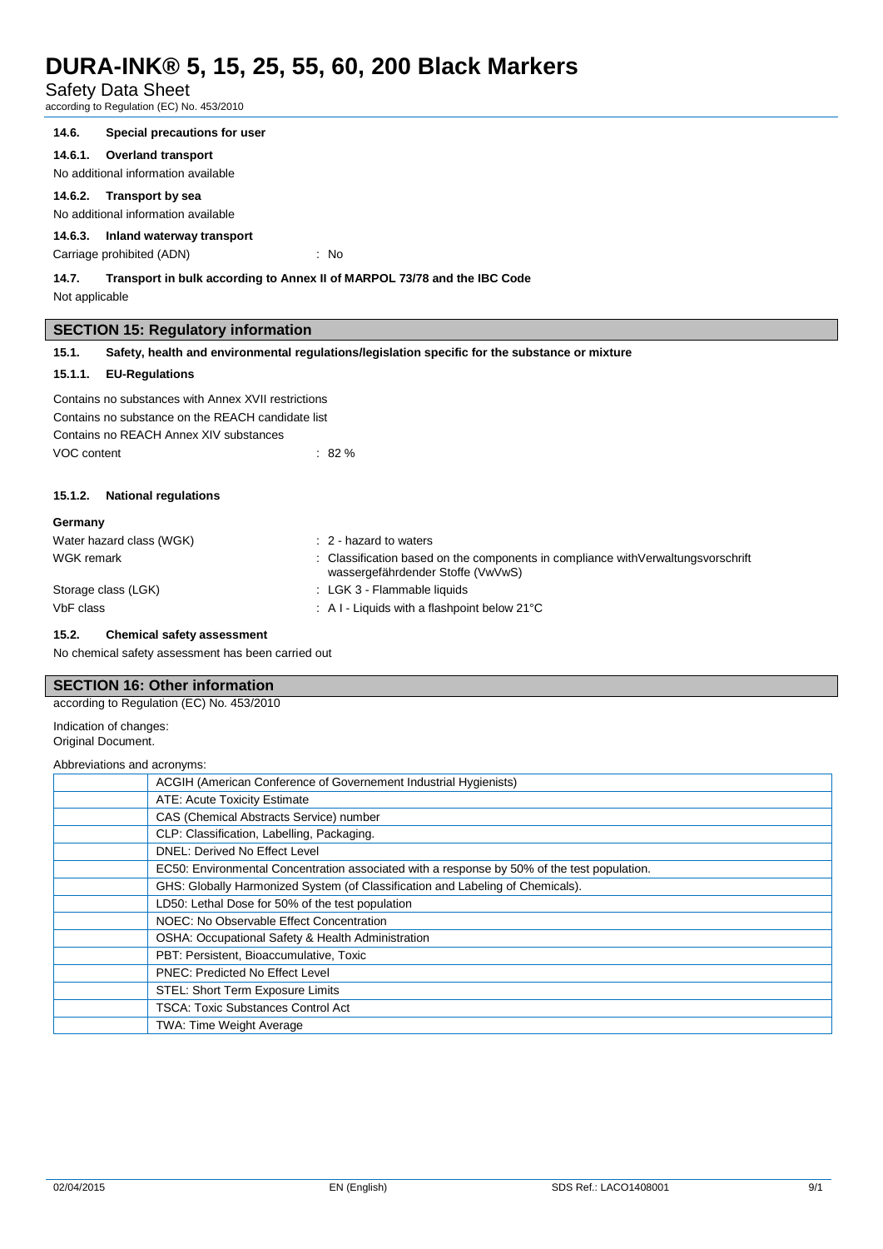# Safety Data Sheet

according to Regulation (EC) No. 453/2010

#### **14.6. Special precautions for user**

**14.6.1. Overland transport**

No additional information available

#### **14.6.2. Transport by sea**

No additional information available

### **14.6.3. Inland waterway transport**

Carriage prohibited (ADN) : No

### **14.7. Transport in bulk according to Annex II of MARPOL 73/78 and the IBC Code**

Not applicable

# **SECTION 15: Regulatory information**

**15.1. Safety, health and environmental regulations/legislation specific for the substance or mixture**

# **15.1.1. EU-Regulations**

Contains no substances with Annex XVII restrictions Contains no substance on the REACH candidate list Contains no REACH Annex XIV substances VOC content : 82 %

# **15.1.2. National regulations**

| Germany                  |                                                                                                                         |
|--------------------------|-------------------------------------------------------------------------------------------------------------------------|
| Water hazard class (WGK) | $\therefore$ 2 - hazard to waters                                                                                       |
| WGK remark               | : Classification based on the components in compliance with Verwaltungs vorschrift<br>wassergefährdender Stoffe (VwVwS) |
| Storage class (LGK)      | : LGK 3 - Flammable liquids                                                                                             |
| VbF class                | $\therefore$ A I - Liquids with a flashpoint below 21 $\degree$ C                                                       |

#### **15.2. Chemical safety assessment**

No chemical safety assessment has been carried out

### **SECTION 16: Other information**

according to Regulation (EC) No. 453/2010

Indication of changes: Original Document.

Abbreviations and acronyms:

| ACGIH (American Conference of Governement Industrial Hygienists)                            |
|---------------------------------------------------------------------------------------------|
| ATE: Acute Toxicity Estimate                                                                |
| CAS (Chemical Abstracts Service) number                                                     |
| CLP: Classification, Labelling, Packaging.                                                  |
| <b>DNEL: Derived No Effect Level</b>                                                        |
| EC50: Environmental Concentration associated with a response by 50% of the test population. |
| GHS: Globally Harmonized System (of Classification and Labeling of Chemicals).              |
| LD50: Lethal Dose for 50% of the test population                                            |
| NOEC: No Observable Effect Concentration                                                    |
| OSHA: Occupational Safety & Health Administration                                           |
| PBT: Persistent, Bioaccumulative, Toxic                                                     |
| <b>PNEC: Predicted No Effect Level</b>                                                      |
| STEL: Short Term Exposure Limits                                                            |
| <b>TSCA: Toxic Substances Control Act</b>                                                   |
| <b>TWA: Time Weight Average</b>                                                             |
|                                                                                             |